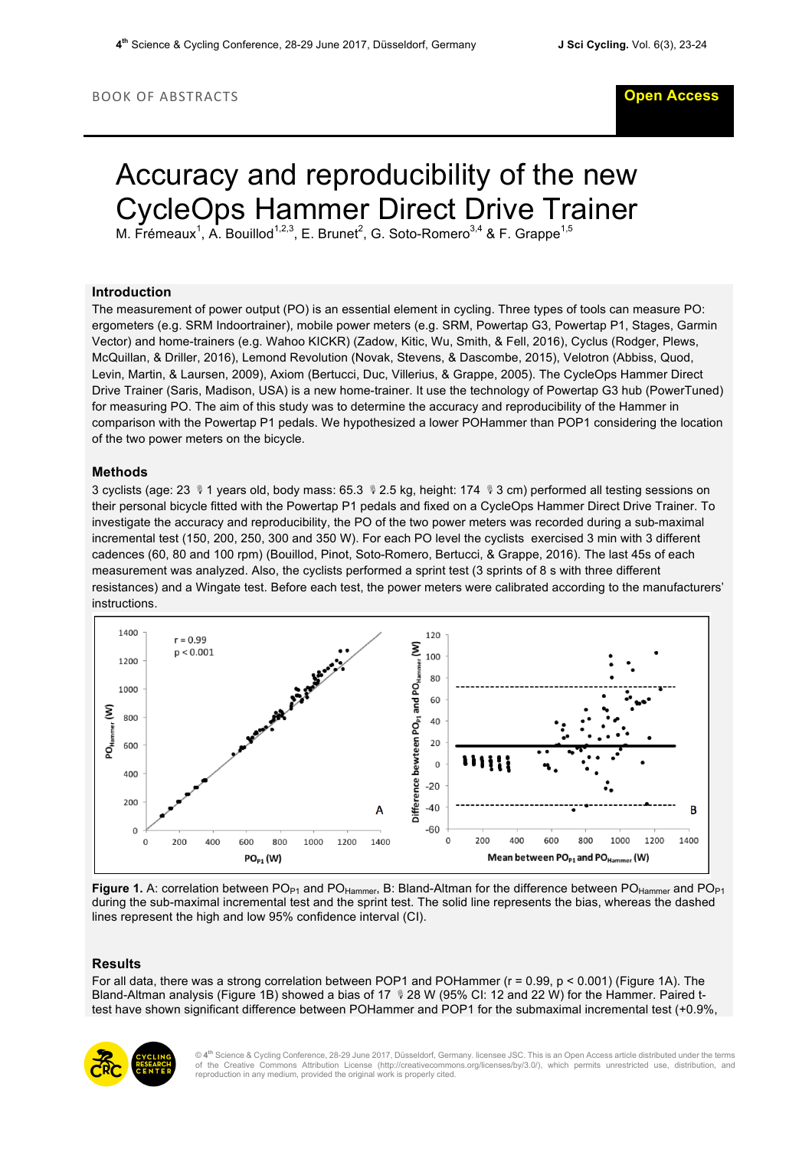# Accuracy and reproducibility of the new CycleOps Hammer Direct Drive Trainer

M. Frémeaux<sup>1</sup>, A. Bouillod<sup>1,2,3</sup>, E. Brunet<sup>2</sup>, G. Soto-Romero<sup>3,4</sup> & F. Grappe<sup>1,5</sup>

# **Introduction**

The measurement of power output (PO) is an essential element in cycling. Three types of tools can measure PO: ergometers (e.g. SRM Indoortrainer), mobile power meters (e.g. SRM, Powertap G3, Powertap P1, Stages, Garmin Vector) and home-trainers (e.g. Wahoo KICKR) (Zadow, Kitic, Wu, Smith, & Fell, 2016), Cyclus (Rodger, Plews, McQuillan, & Driller, 2016), Lemond Revolution (Novak, Stevens, & Dascombe, 2015), Velotron (Abbiss, Quod, Levin, Martin, & Laursen, 2009), Axiom (Bertucci, Duc, Villerius, & Grappe, 2005). The CycleOps Hammer Direct Drive Trainer (Saris, Madison, USA) is a new home-trainer. It use the technology of Powertap G3 hub (PowerTuned) for measuring PO. The aim of this study was to determine the accuracy and reproducibility of the Hammer in comparison with the Powertap P1 pedals. We hypothesized a lower POHammer than POP1 considering the location of the two power meters on the bicycle.

## **Methods**

3 cyclists (age: 23  $\sqrt[p]{1}$  years old, body mass: 65.3  $\sqrt[p]{2.5}$  kg, height: 174  $\sqrt[p]{3}$  cm) performed all testing sessions on their personal bicycle fitted with the Powertap P1 pedals and fixed on a CycleOps Hammer Direct Drive Trainer. To investigate the accuracy and reproducibility, the PO of the two power meters was recorded during a sub-maximal incremental test (150, 200, 250, 300 and 350 W). For each PO level the cyclists exercised 3 min with 3 different cadences (60, 80 and 100 rpm) (Bouillod, Pinot, Soto-Romero, Bertucci, & Grappe, 2016). The last 45s of each measurement was analyzed. Also, the cyclists performed a sprint test (3 sprints of 8 s with three different resistances) and a Wingate test. Before each test, the power meters were calibrated according to the manufacturers' instructions.



Figure 1. A: correlation between PO<sub>P1</sub> and PO<sub>Hammer</sub>, B: Bland-Altman for the difference between PO<sub>Hammer</sub> and PO<sub>P1</sub> during the sub-maximal incremental test and the sprint test. The solid line represents the bias, whereas the dashed lines represent the high and low 95% confidence interval (CI).

#### **Results**

For all data, there was a strong correlation between POP1 and POHammer (r = 0.99, p < 0.001) (Figure 1A). The Bland-Altman analysis (Figure 1B) showed a bias of 17  $\sqrt[8]{28}$  W (95% CI: 12 and 22 W) for the Hammer. Paired ttest have shown significant difference between POHammer and POP1 for the submaximal incremental test (+0.9%,



© **4th** Science & Cycling Conference, 28-29 June 2017, Düsseldorf, Germany. licensee JSC. This is an Open Access article distributed under the terms of the Creative Commons Attribution License (http://creativecommons.org/licenses/by/3.0/), which permits unrestricted use, distribution, and reproduction in any medium, provided the original work is properly cited.